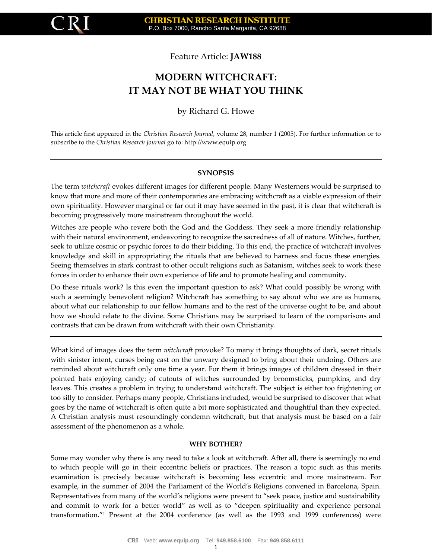

Feature Article: **JAW188**

# **MODERN WITCHCRAFT: IT MAY NOT BE WHAT YOU THINK**

# by Richard G. Howe

This article first appeared in the *Christian Research Journal*, volume 28, number 1 (2005). For further information or to subscribe to the *Christian Research Journal* go to: http://www.equip.org

# **SYNOPSIS**

The term *witchcraft* evokes different images for different people. Many Westerners would be surprised to know that more and more of their contemporaries are embracing witchcraft as a viable expression of their own spirituality. However marginal or far out it may have seemed in the past, it is clear that witchcraft is becoming progressively more mainstream throughout the world.

Witches are people who revere both the God and the Goddess. They seek a more friendly relationship with their natural environment, endeavoring to recognize the sacredness of all of nature. Witches, further, seek to utilize cosmic or psychic forces to do their bidding. To this end, the practice of witchcraft involves knowledge and skill in appropriating the rituals that are believed to harness and focus these energies. Seeing themselves in stark contrast to other occult religions such as Satanism, witches seek to work these forces in order to enhance their own experience of life and to promote healing and community.

Do these rituals work? Is this even the important question to ask? What could possibly be wrong with such a seemingly benevolent religion? Witchcraft has something to say about who we are as humans, about what our relationship to our fellow humans and to the rest of the universe ought to be, and about how we should relate to the divine. Some Christians may be surprised to learn of the comparisons and contrasts that can be drawn from witchcraft with their own Christianity.

What kind of images does the term *witchcraft* provoke? To many it brings thoughts of dark, secret rituals with sinister intent, curses being cast on the unwary designed to bring about their undoing. Others are reminded about witchcraft only one time a year. For them it brings images of children dressed in their pointed hats enjoying candy; of cutouts of witches surrounded by broomsticks, pumpkins, and dry leaves. This creates a problem in trying to understand witchcraft. The subject is either too frightening or too silly to consider. Perhaps many people, Christians included, would be surprised to discover that what goes by the name of witchcraft is often quite a bit more sophisticated and thoughtful than they expected. A Christian analysis must resoundingly condemn witchcraft, but that analysis must be based on a fair assessment of the phenomenon as a whole.

#### **WHY BOTHER?**

Some may wonder why there is any need to take a look at witchcraft. After all, there is seemingly no end to which people will go in their eccentric beliefs or practices. The reason a topic such as this merits examination is precisely because witchcraft is becoming less eccentric and more mainstream. For example, in the summer of 2004 the Parliament of the World's Religions convened in Barcelona, Spain. Representatives from many of the world's religions were present to "seek peace, justice and sustainability and commit to work for a better world" as well as to "deepen spirituality and experience personal transformation."1 Present at the 2004 conference (as well as the 1993 and 1999 conferences) were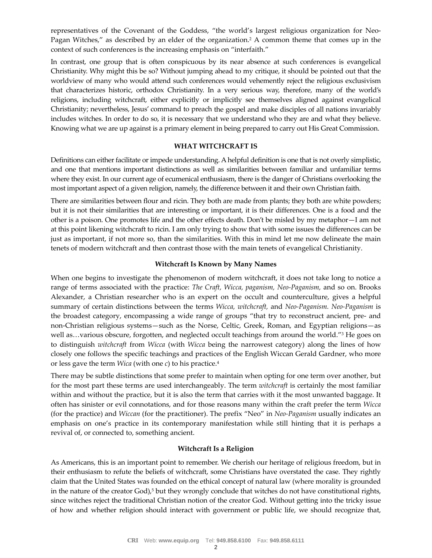representatives of the Covenant of the Goddess, "the world's largest religious organization for Neo-Pagan Witches," as described by an elder of the organization.2 A common theme that comes up in the context of such conferences is the increasing emphasis on "interfaith."

In contrast, one group that is often conspicuous by its near absence at such conferences is evangelical Christianity. Why might this be so? Without jumping ahead to my critique, it should be pointed out that the worldview of many who would attend such conferences would vehemently reject the religious exclusivism that characterizes historic, orthodox Christianity. In a very serious way, therefore, many of the world's religions, including witchcraft, either explicitly or implicitly see themselves aligned against evangelical Christianity; nevertheless, Jesus' command to preach the gospel and make disciples of all nations invariably includes witches. In order to do so, it is necessary that we understand who they are and what they believe. Knowing what we are up against is a primary element in being prepared to carry out His Great Commission.

#### **WHAT WITCHCRAFT IS**

Definitions can either facilitate or impede understanding. Ahelpful definition is one that is not overly simplistic, and one that mentions important distinctions as well as similarities between familiar and unfamiliar terms where they exist. In our current age of ecumenical enthusiasm, there is the danger of Christians overlooking the most important aspect of a given religion, namely, the difference between it and their own Christian faith.

There are similarities between flour and ricin. They both are made from plants; they both are white powders; but it is not their similarities that are interesting or important, it is their differences. One is a food and the other is a poison. One promotes life and the other effects death. Don't be misled by my metaphor—I am not at this point likening witchcraft to ricin. I am only trying to show that with some issues the differences can be just as important, if not more so, than the similarities. With this in mind let me now delineate the main tenets of modern witchcraft and then contrast those with the main tenets of evangelical Christianity.

#### **Witchcraft Is Known by Many Names**

When one begins to investigate the phenomenon of modern witchcraft, it does not take long to notice a range of terms associated with the practice: *The Craft, Wicca, paganism, Neo‐Paganism,* and so on. Brooks Alexander, a Christian researcher who is an expert on the occult and counterculture, gives a helpful summary of certain distinctions between the terms *Wicca, witchcraft,* and *Neo‐Paganism. Neo‐Paganism* is the broadest category, encompassing a wide range of groups "that try to reconstruct ancient, pre‐ and non‐Christian religious systems—such as the Norse, Celtic, Greek, Roman, and Egyptian religions—as well as…various obscure, forgotten, and neglected occult teachings from around the world."3 He goes on to distinguish *witchcraft* from *Wicca* (with *Wicca* being the narrowest category) along the lines of how closely one follows the specific teachings and practices of the English Wiccan Gerald Gardner, who more or less gave the term *Wica* (with one *c*) to his practice.4

There may be subtle distinctions that some prefer to maintain when opting for one term over another, but for the most part these terms are used interchangeably. The term *witchcraft* is certainly the most familiar within and without the practice, but it is also the term that carries with it the most unwanted baggage. It often has sinister or evil connotations, and for those reasons many within the craft prefer the term *Wicca* (for the practice) and *Wiccan* (for the practitioner). The prefix "Neo" in *Neo‐Paganism* usually indicates an emphasis on one's practice in its contemporary manifestation while still hinting that it is perhaps a revival of, or connected to, something ancient.

#### **Witchcraft Is a Religion**

As Americans, this is an important point to remember. We cherish our heritage of religious freedom, but in their enthusiasm to refute the beliefs of witchcraft, some Christians have overstated the case. They rightly claim that the United States was founded on the ethical concept of natural law (where morality is grounded in the nature of the creator  $God)$ ,<sup>5</sup> but they wrongly conclude that witches do not have constitutional rights, since witches reject the traditional Christian notion of the creator God. Without getting into the tricky issue of how and whether religion should interact with government or public life, we should recognize that,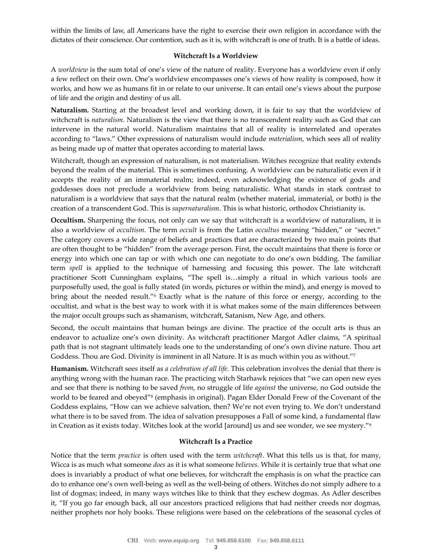within the limits of law, all Americans have the right to exercise their own religion in accordance with the dictates of their conscience. Our contention, such as it is, with witchcraft is one of truth. It is a battle of ideas.

#### **Witchcraft Is a Worldview**

A *worldview* is the sum total of one's view of the nature of reality. Everyone has a worldview even if only a few reflect on their own. One's worldview encompasses one's views of how reality is composed, how it works, and how we as humans fit in or relate to our universe. It can entail one's views about the purpose of life and the origin and destiny of us all.

**Naturalism***.* Starting at the broadest level and working down, it is fair to say that the worldview of witchcraft is *naturalism*. Naturalism is the view that there is no transcendent reality such as God that can intervene in the natural world. Naturalism maintains that all of reality is interrelated and operates according to "laws." Other expressions of naturalism would include *materialism*, which sees all of reality as being made up of matter that operates according to material laws.

Witchcraft, though an expression of naturalism, is not materialism. Witches recognize that reality extends beyond the realm of the material. This is sometimes confusing. A worldview can be naturalistic even if it accepts the reality of an immaterial realm; indeed, even acknowledging the existence of gods and goddesses does not preclude a worldview from being naturalistic. What stands in stark contrast to naturalism is a worldview that says that the natural realm (whether material, immaterial, or both) is the creation of a transcendent God. This is *supernaturalism*. This is what historic, orthodox Christianity is.

**Occultism.** Sharpening the focus, not only can we say that witchcraft is a worldview of naturalism, it is also a worldview of *occultism*. The term *occult* is from the Latin *occultus* meaning "hidden," or *"*secret." The category covers a wide range of beliefs and practices that are characterized by two main points that are often thought to be "hidden" from the average person. First, the occult maintains that there is force or energy into which one can tap or with which one can negotiate to do one's own bidding. The familiar term *spell* is applied to the technique of harnessing and focusing this power. The late witchcraft practitioner Scott Cunningham explains, "The spell is…simply a ritual in which various tools are purposefully used, the goal is fully stated (in words, pictures or within the mind), and energy is moved to bring about the needed result."6 Exactly what is the nature of this force or energy, according to the occultist, and what is the best way to work with it is what makes some of the main differences between the major occult groups such as shamanism, witchcraft, Satanism, New Age, and others.

Second, the occult maintains that human beings are divine. The practice of the occult arts is thus an endeavor to actualize one's own divinity. As witchcraft practitioner Margot Adler claims, "A spiritual path that is not stagnant ultimately leads one to the understanding of one's own divine nature. Thou art Goddess. Thou are God. Divinity is imminent in all Nature. It is as much within you as without."7

**Humanism.** Witchcraft sees itself as *a celebration of all life.* This celebration involves the denial that there is anything wrong with the human race. The practicing witch Starhawk rejoices that "we can open new eyes and see that there is nothing to be saved *from*, no struggle of life *against* the universe, no God outside the world to be feared and obeyed"8 (emphasis in original). Pagan Elder Donald Frew of the Covenant of the Goddess explains, "How can we achieve salvation, then? We're not even trying to. We don't understand what there is to be saved from. The idea of salvation presupposes a Fall of some kind, a fundamental flaw in Creation as it exists today. Witches look at the world [around] us and see wonder, we see mystery."9

# **Witchcraft Is a Practice**

Notice that the term *practice* is often used with the term *witchcraft*. What this tells us is that, for many, Wicca is as much what someone *does* as it is what someone *believes*. While it is certainly true that what one does is invariably a product of what one believes, for witchcraft the emphasis is on what the practice can do to enhance one's own well‐being as well as the well‐being of others. Witches do not simply adhere to a list of dogmas; indeed, in many ways witches like to think that they eschew dogmas. As Adler describes it, "If you go far enough back, all our ancestors practiced religions that had neither creeds nor dogmas, neither prophets nor holy books. These religions were based on the celebrations of the seasonal cycles of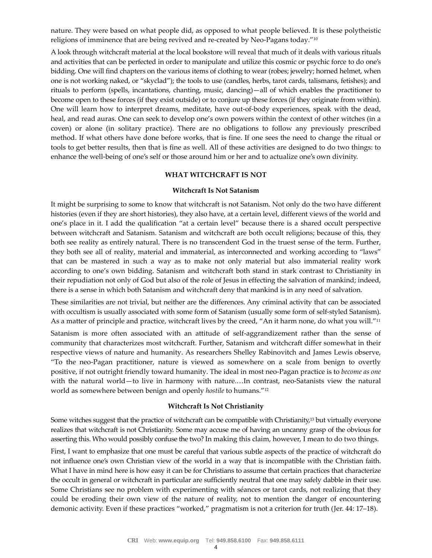nature. They were based on what people did, as opposed to what people believed. It is these polytheistic religions of imminence that are being revived and re‐created by Neo‐Pagans today."10

A look through witchcraft material at the local bookstore will reveal that much of it deals with various rituals and activities that can be perfected in order to manipulate and utilize this cosmic or psychic force to do one's bidding. One will find chapters on the various items of clothing to wear (robes; jewelry; horned helmet, when one is not working naked, or "skyclad"); the tools to use (candles, herbs, tarot cards, talismans, fetishes); and rituals to perform (spells, incantations, chanting, music, dancing)—all of which enables the practitioner to become open to these forces (if they exist outside) or to conjure up these forces (if they originate from within). One will learn how to interpret dreams, meditate, have out‐of‐body experiences, speak with the dead, heal, and read auras. One can seek to develop one's own powers within the context of other witches (in a coven) or alone (in solitary practice). There are no obligations to follow any previously prescribed method. If what others have done before works, that is fine. If one sees the need to change the ritual or tools to get better results, then that is fine as well. All of these activities are designed to do two things: to enhance the well-being of one's self or those around him or her and to actualize one's own divinity.

## **WHAT WITCHCRAFT IS NOT**

#### **Witchcraft Is Not Satanism**

It might be surprising to some to know that witchcraft is not Satanism. Not only do the two have different histories (even if they are short histories), they also have, at a certain level, different views of the world and one's place in it. I add the qualification "at a certain level" because there is a shared occult perspective between witchcraft and Satanism. Satanism and witchcraft are both occult religions; because of this, they both see reality as entirely natural. There is no transcendent God in the truest sense of the term. Further, they both see all of reality, material and immaterial, as interconnected and working according to "laws" that can be mastered in such a way as to make not only material but also immaterial reality work according to one's own bidding. Satanism and witchcraft both stand in stark contrast to Christianity in their repudiation not only of God but also of the role of Jesus in effecting the salvation of mankind; indeed, there is a sense in which both Satanism and witchcraft deny that mankind is in any need of salvation.

These similarities are not trivial, but neither are the differences. Any criminal activity that can be associated with occultism is usually associated with some form of Satanism (usually some form of self-styled Satanism). As a matter of principle and practice, witchcraft lives by the creed, "An it harm none, do what you will."<sup>11</sup>

Satanism is more often associated with an attitude of self‐aggrandizement rather than the sense of community that characterizes most witchcraft. Further, Satanism and witchcraft differ somewhat in their respective views of nature and humanity. As researchers Shelley Rabinovitch and James Lewis observe, "To the neo‐Pagan practitioner, nature is viewed as somewhere on a scale from benign to overtly positive, if not outright friendly toward humanity. The ideal in most neo‐Pagan practice is to *become as one* with the natural world—to live in harmony with nature....In contrast, neo-Satanists view the natural world as somewhere between benign and openly *hostile* to humans."12

## **Witchcraft Is Not Christianity**

Some witches suggest that the practice of witchcraft can be compatible with Christianity,<sup>13</sup> but virtually everyone realizes that witchcraft is not Christianity. Some may accuse me of having an uncanny grasp of the obvious for asserting this. Who would possibly confuse the two? In making this claim, however, I mean to do two things.

First, I want to emphasize that one must be careful that various subtle aspects of the practice of witchcraft do not influence one's own Christian view of the world in a way that is incompatible with the Christian faith. What I have in mind here is how easy it can be for Christians to assume that certain practices that characterize the occult in general or witchcraft in particular are sufficiently neutral that one may safely dabble in their use. Some Christians see no problem with experimenting with séances or tarot cards, not realizing that they could be eroding their own view of the nature of reality, not to mention the danger of encountering demonic activity. Even if these practices "worked," pragmatism is not a criterion for truth (Jer. 44: 17–18).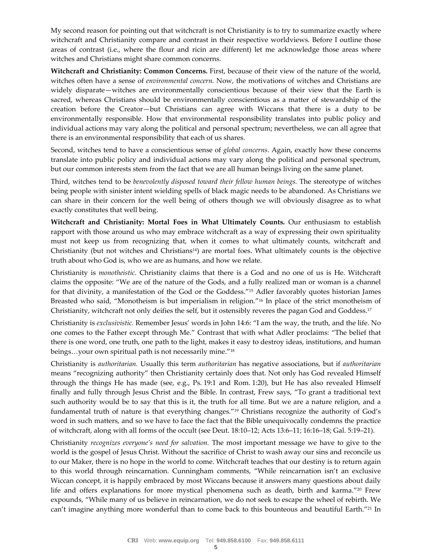My second reason for pointing out that witchcraft is not Christianity is to try to summarize exactly where witchcraft and Christianity compare and contrast in their respective worldviews. Before I outline those areas of contrast (i.e., where the flour and ricin are different) let me acknowledge those areas where witches and Christians might share common concerns.

**Witchcraft and Christianity: Common Concerns.** First, because of their view of the nature of the world, witches often have a sense of *environmental concern.* Now, the motivations of witches and Christians are widely disparate—witches are environmentally conscientious because of their view that the Earth is sacred, whereas Christians should be environmentally conscientious as a matter of stewardship of the creation before the Creator—but Christians can agree with Wiccans that there is a duty to be environmentally responsible. How that environmental responsibility translates into public policy and individual actions may vary along the political and personal spectrum; nevertheless, we can all agree that there is an environmental responsibility that each of us shares.

Second, witches tend to have a conscientious sense of *global concerns.* Again, exactly how these concerns translate into public policy and individual actions may vary along the political and personal spectrum, but our common interests stem from the fact that we are all human beings living on the same planet.

Third, witches tend to be *benevolently disposed toward their fellow human beings.* The stereotype of witches being people with sinister intent wielding spells of black magic needs to be abandoned. As Christians we can share in their concern for the well being of others though we will obviously disagree as to what exactly constitutes that well being.

**Witchcraft and Christianity: Mortal Foes in What Ultimately Counts.** Our enthusiasm to establish rapport with those around us who may embrace witchcraft as a way of expressing their own spirituality must not keep us from recognizing that, when it comes to what ultimately counts, witchcraft and Christianity (but not witches and Christians $14$ ) are mortal foes. What ultimately counts is the objective truth about who God is, who we are as humans, and how we relate.

Christianity is *monotheistic.* Christianity claims that there is a God and no one of us is He. Witchcraft claims the opposite: "We are of the nature of the Gods, and a fully realized man or woman is a channel for that divinity, a manifestation of the God or the Goddess."15 Adler favorably quotes historian James Breasted who said, "Monotheism is but imperialism in religion."16 In place of the strict monotheism of Christianity, witchcraft not only deifies the self, but it ostensibly reveres the pagan God and Goddess.17

Christianity is *exclusivistic.* Remember Jesus' words in John 14:6: "I am the way, the truth, and the life. No one comes to the Father except through Me." Contrast that with what Adler proclaims: "The belief that there is one word, one truth, one path to the light, makes it easy to destroy ideas, institutions, and human beings…your own spiritual path is not necessarily mine."18

Christianity is *authoritarian.* Usually this term *authoritarian* has negative associations, but if *authoritarian* means "recognizing authority" then Christianity certainly does that. Not only has God revealed Himself through the things He has made (see, e.g., Ps. 19:1 and Rom. 1:20), but He has also revealed Himself finally and fully through Jesus Christ and the Bible. In contrast, Frew says, "To grant a traditional text such authority would be to say that this is it, the truth for all time. But we are a nature religion, and a fundamental truth of nature is that everything changes."19 Christians recognize the authority of God's word in such matters, and so we have to face the fact that the Bible unequivocally condemns the practice of witchcraft, along with all forms of the occult (see Deut. 18:10–12; Acts 13:6–11; 16:16–18; Gal. 5:19–21).

Christianity *recognizes everyone's need for salvation.* The most important message we have to give to the world is the gospel of Jesus Christ. Without the sacrifice of Christ to wash away our sins and reconcile us to our Maker, there is no hope in the world to come. Witchcraft teaches that our destiny is to return again to this world through reincarnation. Cunningham comments, "While reincarnation isn't an exclusive Wiccan concept, it is happily embraced by most Wiccans because it answers many questions about daily life and offers explanations for more mystical phenomena such as death, birth and karma."20 Frew expounds, "While many of us believe in reincarnation, we do not seek to escape the wheel of rebirth. We can't imagine anything more wonderful than to come back to this bounteous and beautiful Earth."21 In